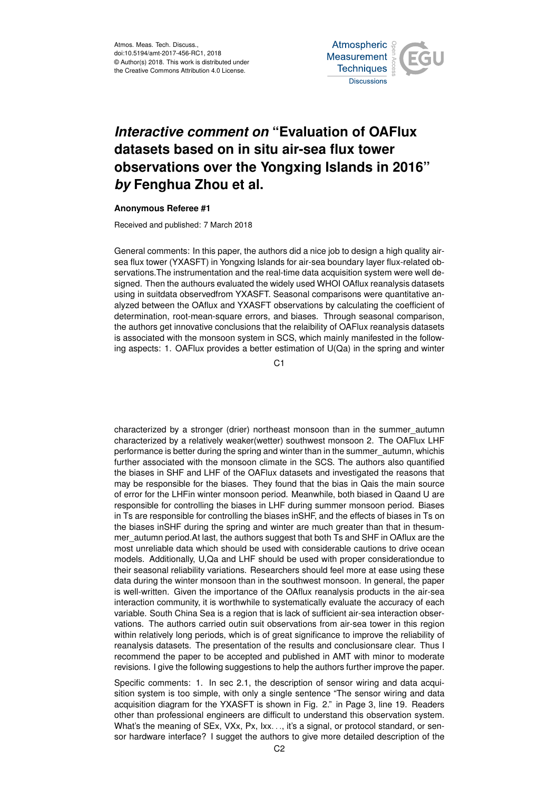Atmos. Meas. Tech. Discuss., doi:10.5194/amt-2017-456-RC1, 2018 © Author(s) 2018. This work is distributed under the Creative Commons Attribution 4.0 License.



## *Interactive comment on* **"Evaluation of OAFlux datasets based on in situ air-sea flux tower observations over the Yongxing Islands in 2016"** *by* **Fenghua Zhou et al.**

## **Anonymous Referee #1**

Received and published: 7 March 2018

General comments: In this paper, the authors did a nice job to design a high quality airsea flux tower (YXASFT) in Yongxing Islands for air-sea boundary layer flux-related observations.The instrumentation and the real-time data acquisition system were well designed. Then the authours evaluated the widely used WHOI OAflux reanalysis datasets using in suitdata observedfrom YXASFT. Seasonal comparisons were quantitative analyzed between the OAflux and YXASFT observations by calculating the coefficient of determination, root-mean-square errors, and biases. Through seasonal comparison, the authors get innovative conclusions that the relaibility of OAFlux reanalysis datasets is associated with the monsoon system in SCS, which mainly manifested in the following aspects: 1. OAFlux provides a better estimation of U(Qa) in the spring and winter

C1

characterized by a stronger (drier) northeast monsoon than in the summer\_autumn characterized by a relatively weaker(wetter) southwest monsoon 2. The OAFlux LHF performance is better during the spring and winter than in the summer\_autumn, whichis further associated with the monsoon climate in the SCS. The authors also quantified the biases in SHF and LHF of the OAFlux datasets and investigated the reasons that may be responsible for the biases. They found that the bias in Qais the main source of error for the LHFin winter monsoon period. Meanwhile, both biased in Qaand U are responsible for controlling the biases in LHF during summer monsoon period. Biases in Ts are responsible for controlling the biases inSHF, and the effects of biases in Ts on the biases inSHF during the spring and winter are much greater than that in thesummer autumn period. At last, the authors suggest that both Ts and SHF in OAflux are the most unreliable data which should be used with considerable cautions to drive ocean models. Additionally, U,Qa and LHF should be used with proper considerationdue to their seasonal reliability variations. Researchers should feel more at ease using these data during the winter monsoon than in the southwest monsoon. In general, the paper is well-written. Given the importance of the OAflux reanalysis products in the air-sea interaction community, it is worthwhile to systematically evaluate the accuracy of each variable. South China Sea is a region that is lack of sufficient air-sea interaction observations. The authors carried outin suit observations from air-sea tower in this region within relatively long periods, which is of great significance to improve the reliability of reanalysis datasets. The presentation of the results and conclusionsare clear. Thus I recommend the paper to be accepted and published in AMT with minor to moderate revisions. I give the following suggestions to help the authors further improve the paper.

Specific comments: 1. In sec 2.1, the description of sensor wiring and data acquisition system is too simple, with only a single sentence "The sensor wiring and data acquisition diagram for the YXASFT is shown in Fig. 2." in Page 3, line 19. Readers other than professional engineers are difficult to understand this observation system. What's the meaning of SEx, VXx, Px, Ixx. .., it's a signal, or protocol standard, or sensor hardware interface? I sugget the authors to give more detailed description of the